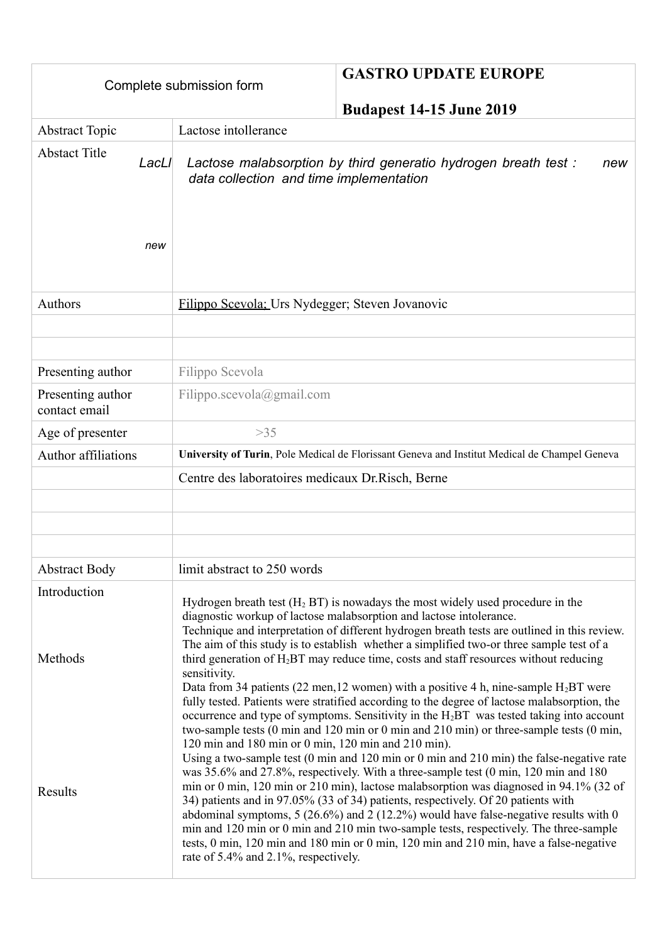|                                      | <b>GASTRO UPDATE EUROPE</b><br>Complete submission form<br><b>Budapest 14-15 June 2019</b>                                                                                                                                                                                                                                                                                                                                                                                                                                                                                                                                                                                                                                                                                                                                                                                    |
|--------------------------------------|-------------------------------------------------------------------------------------------------------------------------------------------------------------------------------------------------------------------------------------------------------------------------------------------------------------------------------------------------------------------------------------------------------------------------------------------------------------------------------------------------------------------------------------------------------------------------------------------------------------------------------------------------------------------------------------------------------------------------------------------------------------------------------------------------------------------------------------------------------------------------------|
| <b>Abstract Topic</b>                | Lactose intollerance                                                                                                                                                                                                                                                                                                                                                                                                                                                                                                                                                                                                                                                                                                                                                                                                                                                          |
| <b>Abstact Title</b><br>LacLI<br>new | Lactose malabsorption by third generatio hydrogen breath test:<br>new<br>data collection and time implementation                                                                                                                                                                                                                                                                                                                                                                                                                                                                                                                                                                                                                                                                                                                                                              |
| <b>Authors</b>                       | Filippo Scevola: Urs Nydegger; Steven Jovanovic                                                                                                                                                                                                                                                                                                                                                                                                                                                                                                                                                                                                                                                                                                                                                                                                                               |
|                                      |                                                                                                                                                                                                                                                                                                                                                                                                                                                                                                                                                                                                                                                                                                                                                                                                                                                                               |
|                                      |                                                                                                                                                                                                                                                                                                                                                                                                                                                                                                                                                                                                                                                                                                                                                                                                                                                                               |
| Presenting author                    | Filippo Scevola                                                                                                                                                                                                                                                                                                                                                                                                                                                                                                                                                                                                                                                                                                                                                                                                                                                               |
| Presenting author<br>contact email   | Filippo.scevola@gmail.com                                                                                                                                                                                                                                                                                                                                                                                                                                                                                                                                                                                                                                                                                                                                                                                                                                                     |
| Age of presenter                     | $>35$                                                                                                                                                                                                                                                                                                                                                                                                                                                                                                                                                                                                                                                                                                                                                                                                                                                                         |
| Author affiliations                  | University of Turin, Pole Medical de Florissant Geneva and Institut Medical de Champel Geneva                                                                                                                                                                                                                                                                                                                                                                                                                                                                                                                                                                                                                                                                                                                                                                                 |
|                                      | Centre des laboratoires medicaux Dr. Risch, Berne                                                                                                                                                                                                                                                                                                                                                                                                                                                                                                                                                                                                                                                                                                                                                                                                                             |
|                                      |                                                                                                                                                                                                                                                                                                                                                                                                                                                                                                                                                                                                                                                                                                                                                                                                                                                                               |
|                                      |                                                                                                                                                                                                                                                                                                                                                                                                                                                                                                                                                                                                                                                                                                                                                                                                                                                                               |
|                                      |                                                                                                                                                                                                                                                                                                                                                                                                                                                                                                                                                                                                                                                                                                                                                                                                                                                                               |
| <b>Abstract Body</b>                 | limit abstract to 250 words                                                                                                                                                                                                                                                                                                                                                                                                                                                                                                                                                                                                                                                                                                                                                                                                                                                   |
| Introduction<br>Methods              | Hydrogen breath test $(H_2 BT)$ is nowadays the most widely used procedure in the<br>diagnostic workup of lactose malabsorption and lactose intolerance.<br>Technique and interpretation of different hydrogen breath tests are outlined in this review.<br>The aim of this study is to establish whether a simplified two-or three sample test of a<br>third generation of H <sub>2</sub> BT may reduce time, costs and staff resources without reducing<br>sensitivity.<br>Data from 34 patients (22 men, 12 women) with a positive 4 h, nine-sample $H_2BT$ were<br>fully tested. Patients were stratified according to the degree of lactose malabsorption, the<br>occurrence and type of symptoms. Sensitivity in the $H_2BT$ was tested taking into account                                                                                                             |
| Results                              | two-sample tests (0 min and 120 min or 0 min and 210 min) or three-sample tests (0 min,<br>120 min and 180 min or 0 min, 120 min and 210 min).<br>Using a two-sample test $(0 \text{ min and } 120 \text{ min or } 0 \text{ min and } 210 \text{ min})$ the false-negative rate<br>was 35.6% and 27.8%, respectively. With a three-sample test (0 min, 120 min and 180)<br>min or 0 min, 120 min or 210 min), lactose malabsorption was diagnosed in 94.1% (32 of<br>34) patients and in 97.05% (33 of 34) patients, respectively. Of 20 patients with<br>abdominal symptoms, $5(26.6\%)$ and $2(12.2\%)$ would have false-negative results with 0<br>min and 120 min or 0 min and 210 min two-sample tests, respectively. The three-sample<br>tests, 0 min, 120 min and 180 min or 0 min, 120 min and 210 min, have a false-negative<br>rate of 5.4% and 2.1%, respectively. |